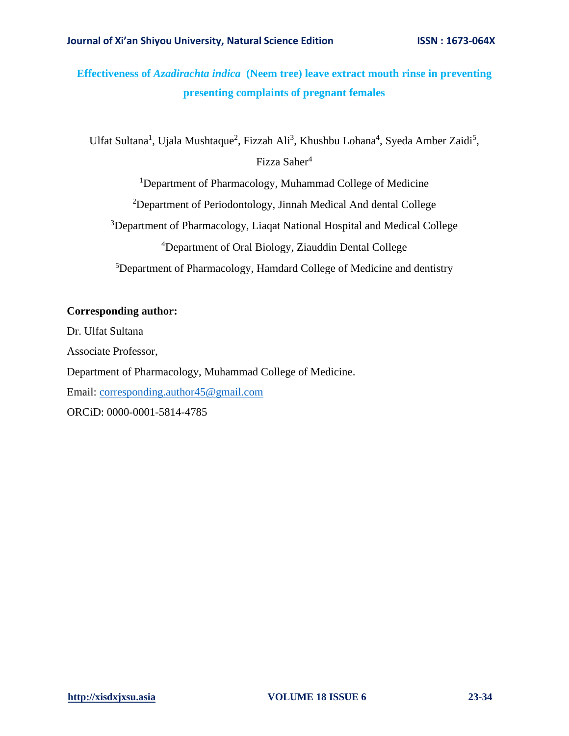# **Effectiveness of** *Azadirachta indica* **(Neem tree) leave extract mouth rinse in preventing presenting complaints of pregnant females**

Ulfat Sultana<sup>1</sup>, Ujala Mushtaque<sup>2</sup>, Fizzah Ali<sup>3</sup>, Khushbu Lohana<sup>4</sup>, Syeda Amber Zaidi<sup>5</sup>, Fizza Saher<sup>4</sup>

<sup>1</sup>Department of Pharmacology, Muhammad College of Medicine

 $2$ Department of Periodontology, Jinnah Medical And dental College

<sup>3</sup>Department of Pharmacology, Liaqat National Hospital and Medical College

<sup>4</sup>Department of Oral Biology, Ziauddin Dental College

<sup>5</sup>Department of Pharmacology, Hamdard College of Medicine and dentistry

### **Corresponding author:**

Dr. Ulfat Sultana Associate Professor, Department of Pharmacology, Muhammad College of Medicine. Email: [corresponding.author45@gmail.com](mailto:corresponding.author45@gmail.com) ORCiD: 0000-0001-5814-4785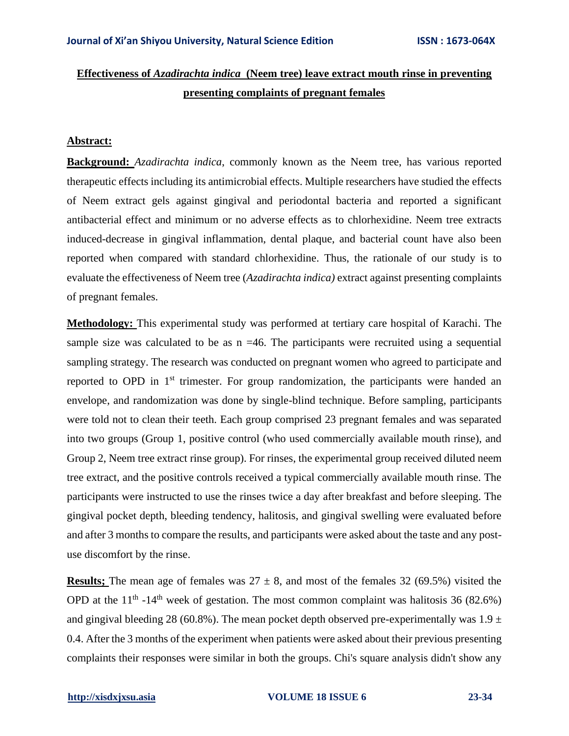# **Effectiveness of** *Azadirachta indica* **(Neem tree) leave extract mouth rinse in preventing presenting complaints of pregnant females**

### **Abstract:**

**Background:** *Azadirachta indica*, commonly known as the Neem tree, has various reported therapeutic effects including its antimicrobial effects. Multiple researchers have studied the effects of Neem extract gels against gingival and periodontal bacteria and reported a significant antibacterial effect and minimum or no adverse effects as to chlorhexidine. Neem tree extracts induced-decrease in gingival inflammation, dental plaque, and bacterial count have also been reported when compared with standard chlorhexidine. Thus, the rationale of our study is to evaluate the effectiveness of Neem tree (*Azadirachta indica)* extract against presenting complaints of pregnant females.

**Methodology:** This experimental study was performed at tertiary care hospital of Karachi. The sample size was calculated to be as  $n = 46$ . The participants were recruited using a sequential sampling strategy. The research was conducted on pregnant women who agreed to participate and reported to OPD in 1<sup>st</sup> trimester. For group randomization, the participants were handed an envelope, and randomization was done by single-blind technique. Before sampling, participants were told not to clean their teeth. Each group comprised 23 pregnant females and was separated into two groups (Group 1, positive control (who used commercially available mouth rinse), and Group 2, Neem tree extract rinse group). For rinses, the experimental group received diluted neem tree extract, and the positive controls received a typical commercially available mouth rinse. The participants were instructed to use the rinses twice a day after breakfast and before sleeping. The gingival pocket depth, bleeding tendency, halitosis, and gingival swelling were evaluated before and after 3 months to compare the results, and participants were asked about the taste and any postuse discomfort by the rinse.

**Results;** The mean age of females was  $27 \pm 8$ , and most of the females 32 (69.5%) visited the OPD at the  $11<sup>th</sup> - 14<sup>th</sup>$  week of gestation. The most common complaint was halitosis 36 (82.6%) and gingival bleeding 28 (60.8%). The mean pocket depth observed pre-experimentally was  $1.9 \pm$ 0.4. After the 3 months of the experiment when patients were asked about their previous presenting complaints their responses were similar in both the groups. Chi's square analysis didn't show any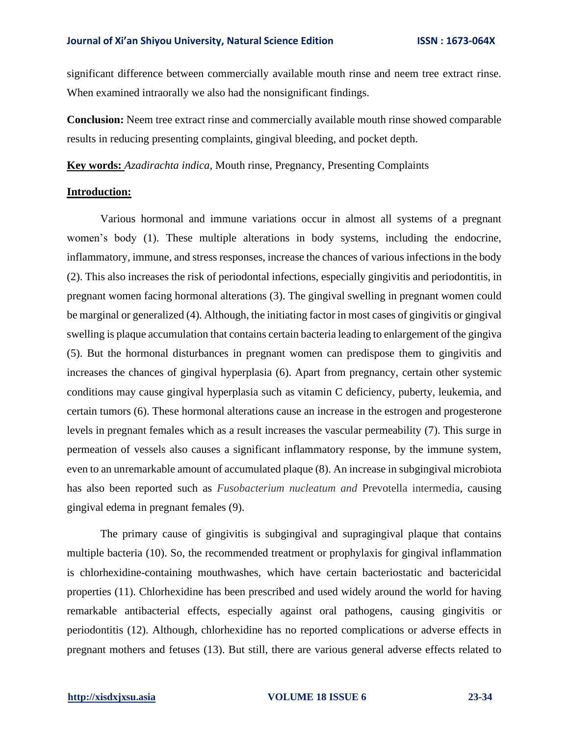significant difference between commercially available mouth rinse and neem tree extract rinse. When examined intraorally we also had the nonsignificant findings.

**Conclusion:** Neem tree extract rinse and commercially available mouth rinse showed comparable results in reducing presenting complaints, gingival bleeding, and pocket depth.

**Key words:** *Azadirachta indica,* Mouth rinse, Pregnancy, Presenting Complaints

### **Introduction:**

Various hormonal and immune variations occur in almost all systems of a pregnant women's body (1). These multiple alterations in body systems, including the endocrine, inflammatory, immune, and stress responses, increase the chances of various infections in the body (2). This also increases the risk of periodontal infections, especially gingivitis and periodontitis, in pregnant women facing hormonal alterations (3). The gingival swelling in pregnant women could be marginal or generalized (4). Although, the initiating factor in most cases of gingivitis or gingival swelling is plaque accumulation that contains certain bacteria leading to enlargement of the gingiva (5). But the hormonal disturbances in pregnant women can predispose them to gingivitis and increases the chances of gingival hyperplasia (6). Apart from pregnancy, certain other systemic conditions may cause gingival hyperplasia such as vitamin C deficiency, puberty, leukemia, and certain tumors (6). These hormonal alterations cause an increase in the estrogen and progesterone levels in pregnant females which as a result increases the vascular permeability (7). This surge in permeation of vessels also causes a significant inflammatory response, by the immune system, even to an unremarkable amount of accumulated plaque (8). An increase in subgingival microbiota has also been reported such as *Fusobacterium nucleatum and* Prevotella intermedia, causing gingival edema in pregnant females (9).

The primary cause of gingivitis is subgingival and supragingival plaque that contains multiple bacteria (10). So, the recommended treatment or prophylaxis for gingival inflammation is chlorhexidine-containing mouthwashes, which have certain bacteriostatic and bactericidal properties (11). Chlorhexidine has been prescribed and used widely around the world for having remarkable antibacterial effects, especially against oral pathogens, causing gingivitis or periodontitis (12). Although, chlorhexidine has no reported complications or adverse effects in pregnant mothers and fetuses (13). But still, there are various general adverse effects related to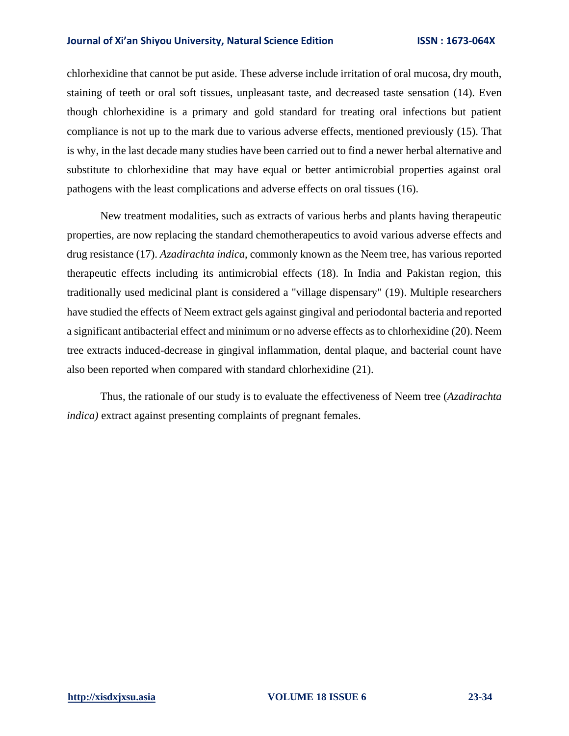chlorhexidine that cannot be put aside. These adverse include irritation of oral mucosa, dry mouth, staining of teeth or oral soft tissues, unpleasant taste, and decreased taste sensation (14). Even though chlorhexidine is a primary and gold standard for treating oral infections but patient compliance is not up to the mark due to various adverse effects, mentioned previously (15). That is why, in the last decade many studies have been carried out to find a newer herbal alternative and substitute to chlorhexidine that may have equal or better antimicrobial properties against oral pathogens with the least complications and adverse effects on oral tissues (16).

New treatment modalities, such as extracts of various herbs and plants having therapeutic properties, are now replacing the standard chemotherapeutics to avoid various adverse effects and drug resistance (17). *Azadirachta indica*, commonly known as the Neem tree, has various reported therapeutic effects including its antimicrobial effects (18). In India and Pakistan region, this traditionally used medicinal plant is considered a "village dispensary" (19). Multiple researchers have studied the effects of Neem extract gels against gingival and periodontal bacteria and reported a significant antibacterial effect and minimum or no adverse effects as to chlorhexidine (20). Neem tree extracts induced-decrease in gingival inflammation, dental plaque, and bacterial count have also been reported when compared with standard chlorhexidine (21).

Thus, the rationale of our study is to evaluate the effectiveness of Neem tree (*Azadirachta indica)* extract against presenting complaints of pregnant females.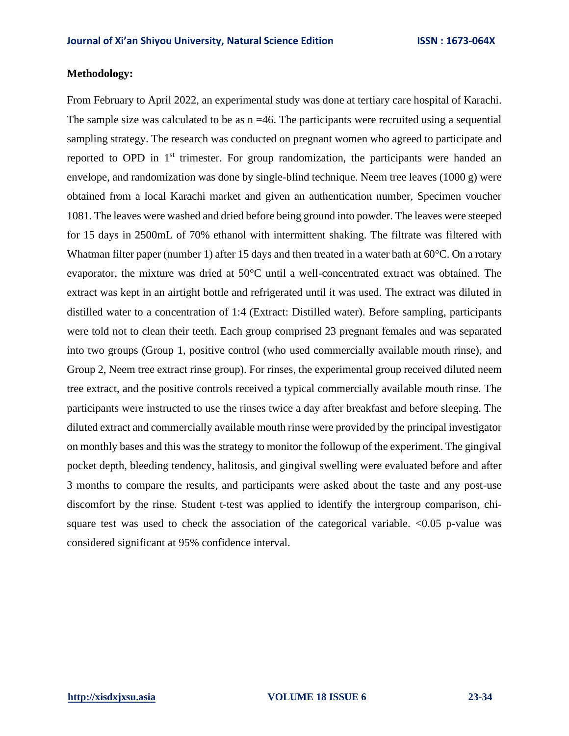### **Methodology:**

From February to April 2022, an experimental study was done at tertiary care hospital of Karachi. The sample size was calculated to be as  $n = 46$ . The participants were recruited using a sequential sampling strategy. The research was conducted on pregnant women who agreed to participate and reported to OPD in 1<sup>st</sup> trimester. For group randomization, the participants were handed an envelope, and randomization was done by single-blind technique. Neem tree leaves (1000 g) were obtained from a local Karachi market and given an authentication number, Specimen voucher 1081. The leaves were washed and dried before being ground into powder. The leaves were steeped for 15 days in 2500mL of 70% ethanol with intermittent shaking. The filtrate was filtered with Whatman filter paper (number 1) after 15 days and then treated in a water bath at 60 °C. On a rotary evaporator, the mixture was dried at 50°C until a well-concentrated extract was obtained. The extract was kept in an airtight bottle and refrigerated until it was used. The extract was diluted in distilled water to a concentration of 1:4 (Extract: Distilled water). Before sampling, participants were told not to clean their teeth. Each group comprised 23 pregnant females and was separated into two groups (Group 1, positive control (who used commercially available mouth rinse), and Group 2, Neem tree extract rinse group). For rinses, the experimental group received diluted neem tree extract, and the positive controls received a typical commercially available mouth rinse. The participants were instructed to use the rinses twice a day after breakfast and before sleeping. The diluted extract and commercially available mouth rinse were provided by the principal investigator on monthly bases and this was the strategy to monitor the followup of the experiment. The gingival pocket depth, bleeding tendency, halitosis, and gingival swelling were evaluated before and after 3 months to compare the results, and participants were asked about the taste and any post-use discomfort by the rinse. Student t-test was applied to identify the intergroup comparison, chisquare test was used to check the association of the categorical variable.  $\langle 0.05 \rangle$  p-value was considered significant at 95% confidence interval.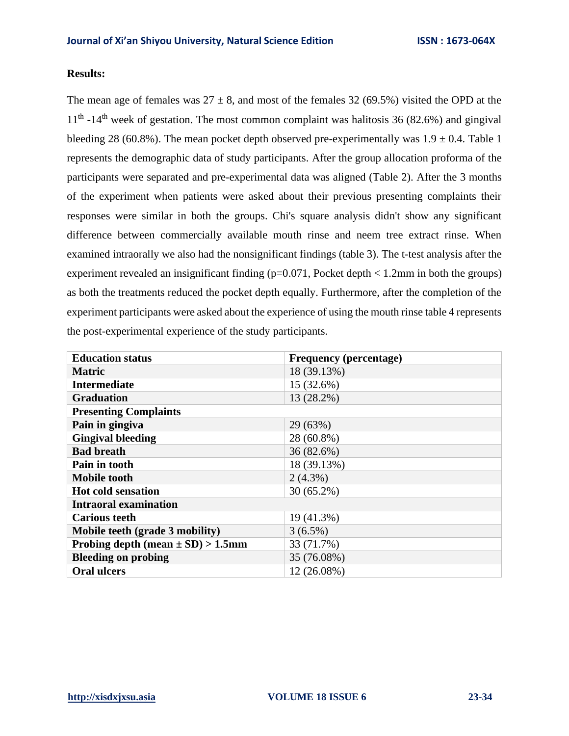# **Results:**

The mean age of females was  $27 \pm 8$ , and most of the females 32 (69.5%) visited the OPD at the  $11<sup>th</sup>$  -14<sup>th</sup> week of gestation. The most common complaint was halitosis 36 (82.6%) and gingival bleeding 28 (60.8%). The mean pocket depth observed pre-experimentally was  $1.9 \pm 0.4$ . Table 1 represents the demographic data of study participants. After the group allocation proforma of the participants were separated and pre-experimental data was aligned (Table 2). After the 3 months of the experiment when patients were asked about their previous presenting complaints their responses were similar in both the groups. Chi's square analysis didn't show any significant difference between commercially available mouth rinse and neem tree extract rinse. When examined intraorally we also had the nonsignificant findings (table 3). The t-test analysis after the experiment revealed an insignificant finding  $(p=0.071,$  Pocket depth  $\lt 1.2$ mm in both the groups) as both the treatments reduced the pocket depth equally. Furthermore, after the completion of the experiment participants were asked about the experience of using the mouth rinse table 4 represents the post-experimental experience of the study participants.

| <b>Education status</b>               | <b>Frequency</b> (percentage) |  |  |
|---------------------------------------|-------------------------------|--|--|
| <b>Matric</b>                         | 18 (39.13%)                   |  |  |
| <b>Intermediate</b>                   | 15 (32.6%)                    |  |  |
| <b>Graduation</b>                     | 13 (28.2%)                    |  |  |
| <b>Presenting Complaints</b>          |                               |  |  |
| Pain in gingiva                       | 29 (63%)                      |  |  |
| <b>Gingival bleeding</b>              | 28 (60.8%)                    |  |  |
| <b>Bad breath</b>                     | 36 (82.6%)                    |  |  |
| Pain in tooth                         | 18 (39.13%)                   |  |  |
| <b>Mobile tooth</b>                   | $2(4.3\%)$                    |  |  |
| <b>Hot cold sensation</b>             | $30(65.2\%)$                  |  |  |
| <b>Intraoral examination</b>          |                               |  |  |
| <b>Carious teeth</b>                  | 19 (41.3%)                    |  |  |
| Mobile teeth (grade 3 mobility)       | $3(6.5\%)$                    |  |  |
| Probing depth (mean $\pm$ SD) > 1.5mm | 33 (71.7%)                    |  |  |
| <b>Bleeding on probing</b>            | 35 (76.08%)                   |  |  |
| <b>Oral ulcers</b>                    | 12 (26.08%)                   |  |  |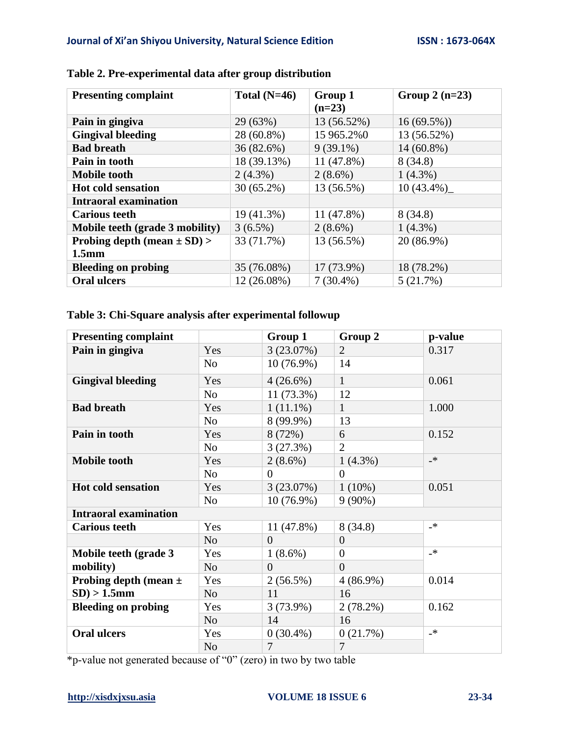| <b>Presenting complaint</b>     | Total $(N=46)$ | Group 1<br>$(n=23)$ | Group $2(n=23)$ |
|---------------------------------|----------------|---------------------|-----------------|
| Pain in gingiva                 | 29 (63%)       | 13 (56.52%)         | $16(69.5\%)$    |
| <b>Gingival bleeding</b>        | 28 (60.8%)     | 15 965.2%0          | 13 (56.52%)     |
| <b>Bad breath</b>               | 36(82.6%)      | $9(39.1\%)$         | $14(60.8\%)$    |
| Pain in tooth                   | 18 (39.13%)    | $11(47.8\%)$        | 8(34.8)         |
| <b>Mobile tooth</b>             | $2(4.3\%)$     | $2(8.6\%)$          | $1(4.3\%)$      |
| <b>Hot cold sensation</b>       | $30(65.2\%)$   | 13 (56.5%)          | $10(43.4\%)$    |
| <b>Intraoral examination</b>    |                |                     |                 |
| <b>Carious teeth</b>            | 19 (41.3%)     | 11 (47.8%)          | 8(34.8)         |
| Mobile teeth (grade 3 mobility) | $3(6.5\%)$     | $2(8.6\%)$          | $1(4.3\%)$      |
| Probing depth (mean $\pm$ SD) > | 33 (71.7%)     | 13 (56.5%)          | 20 (86.9%)      |
| 1.5 <sub>mm</sub>               |                |                     |                 |
| <b>Bleeding on probing</b>      | 35 (76.08%)    | $17(73.9\%)$        | 18 (78.2%)      |
| <b>Oral ulcers</b>              | 12 (26.08%)    | $7(30.4\%)$         | 5(21.7%)        |

# **Table 2. Pre-experimental data after group distribution**

# **Table 3: Chi-Square analysis after experimental followup**

| <b>Presenting complaint</b>  |                | Group 1        | Group 2        | p-value       |
|------------------------------|----------------|----------------|----------------|---------------|
| Pain in gingiva              | Yes            | 3(23.07%)      | $\overline{2}$ | 0.317         |
|                              | No             | $10(76.9\%)$   | 14             |               |
| <b>Gingival bleeding</b>     | Yes            | $4(26.6\%)$    | $\mathbf{1}$   | 0.061         |
|                              | N <sub>o</sub> | 11 (73.3%)     | 12             |               |
| <b>Bad breath</b>            | Yes            | $1(11.1\%)$    | $\mathbf{1}$   | 1.000         |
|                              | N <sub>o</sub> | 8 (99.9%)      | 13             |               |
| Pain in tooth                | Yes            | 8 (72%)        | 6              | 0.152         |
|                              | N <sub>0</sub> | 3(27.3%)       | $\overline{2}$ |               |
| <b>Mobile tooth</b>          | Yes            | $2(8.6\%)$     | $1(4.3\%)$     | $\cdot$       |
|                              | N <sub>0</sub> | $\Omega$       | $\Omega$       |               |
| <b>Hot cold sensation</b>    | Yes            | 3(23.07%)      | $1(10\%)$      | 0.051         |
|                              | N <sub>o</sub> | $10(76.9\%)$   | $9(90\%)$      |               |
| <b>Intraoral examination</b> |                |                |                |               |
| <b>Carious teeth</b>         | Yes            | 11 (47.8%)     | 8(34.8)        | $\cdot$       |
|                              | N <sub>o</sub> | $\Omega$       | $\theta$       |               |
| Mobile teeth (grade 3        | Yes            | $1(8.6\%)$     | $\overline{0}$ | $\cdot$       |
| mobility)                    | N <sub>o</sub> | $\overline{0}$ | $\theta$       |               |
| Probing depth (mean $\pm$    | Yes            | 2(56.5%)       | $4(86.9\%)$    | 0.014         |
| $SD$ ) > 1.5mm               | N <sub>o</sub> | 11             | 16             |               |
| <b>Bleeding on probing</b>   | Yes            | 3(73.9%)       | $2(78.2\%)$    | 0.162         |
|                              | N <sub>o</sub> | 14             | 16             |               |
| <b>Oral ulcers</b>           | Yes            | $0(30.4\%)$    | 0(21.7%)       | $\rightarrow$ |
|                              | N <sub>o</sub> | 7              | $\overline{7}$ |               |

\*p-value not generated because of "0" (zero) in two by two table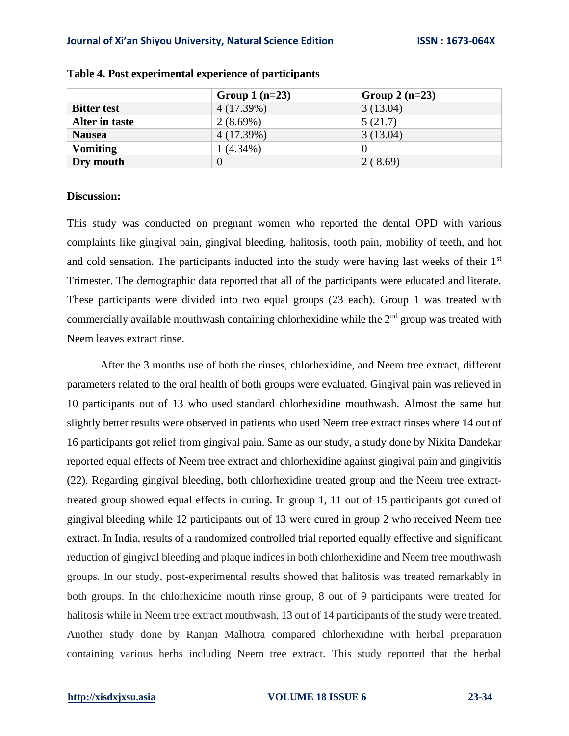|                    | Group $1(n=23)$ | Group $2(n=23)$ |
|--------------------|-----------------|-----------------|
| <b>Bitter test</b> | 4(17.39%)       | 3(13.04)        |
| Alter in taste     | $2(8.69\%)$     | 5(21.7)         |
| <b>Nausea</b>      | 4(17.39%)       | 3(13.04)        |
| <b>Vomiting</b>    | $1(4.34\%)$     |                 |
| Dry mouth          | 0               | 2(8.69)         |

### **Table 4. Post experimental experience of participants**

### **Discussion:**

This study was conducted on pregnant women who reported the dental OPD with various complaints like gingival pain, gingival bleeding, halitosis, tooth pain, mobility of teeth, and hot and cold sensation. The participants inducted into the study were having last weeks of their 1<sup>st</sup> Trimester. The demographic data reported that all of the participants were educated and literate. These participants were divided into two equal groups (23 each). Group 1 was treated with commercially available mouthwash containing chlorhexidine while the  $2<sup>nd</sup>$  group was treated with Neem leaves extract rinse.

After the 3 months use of both the rinses, chlorhexidine, and Neem tree extract, different parameters related to the oral health of both groups were evaluated. Gingival pain was relieved in 10 participants out of 13 who used standard chlorhexidine mouthwash. Almost the same but slightly better results were observed in patients who used Neem tree extract rinses where 14 out of 16 participants got relief from gingival pain. Same as our study, a study done by Nikita Dandekar reported equal effects of Neem tree extract and chlorhexidine against gingival pain and gingivitis (22). Regarding gingival bleeding, both chlorhexidine treated group and the Neem tree extracttreated group showed equal effects in curing. In group 1, 11 out of 15 participants got cured of gingival bleeding while 12 participants out of 13 were cured in group 2 who received Neem tree extract. In India, results of a randomized controlled trial reported equally effective and significant reduction of gingival bleeding and plaque indices in both chlorhexidine and Neem tree mouthwash groups. In our study, post-experimental results showed that halitosis was treated remarkably in both groups. In the chlorhexidine mouth rinse group, 8 out of 9 participants were treated for halitosis while in Neem tree extract mouthwash, 13 out of 14 participants of the study were treated. Another study done by Ranjan Malhotra compared chlorhexidine with herbal preparation containing various herbs including Neem tree extract. This study reported that the herbal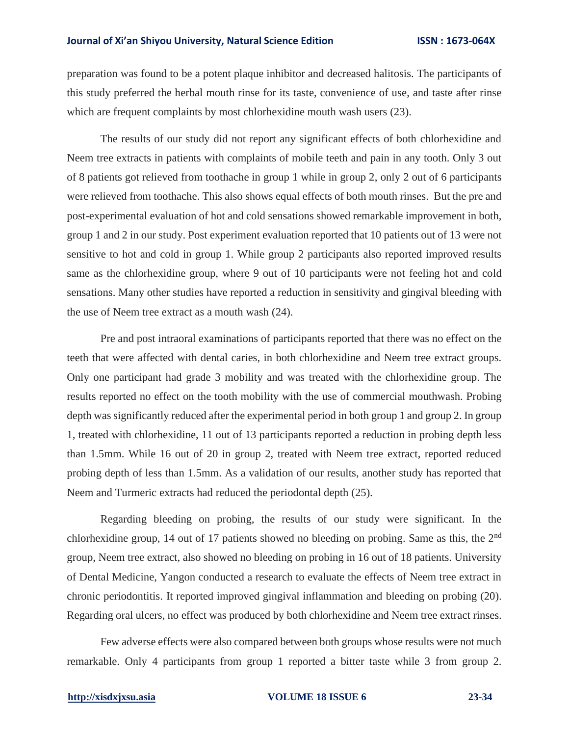preparation was found to be a potent plaque inhibitor and decreased halitosis. The participants of this study preferred the herbal mouth rinse for its taste, convenience of use, and taste after rinse which are frequent complaints by most chlorhexidine mouth wash users  $(23)$ .

The results of our study did not report any significant effects of both chlorhexidine and Neem tree extracts in patients with complaints of mobile teeth and pain in any tooth. Only 3 out of 8 patients got relieved from toothache in group 1 while in group 2, only 2 out of 6 participants were relieved from toothache. This also shows equal effects of both mouth rinses. But the pre and post-experimental evaluation of hot and cold sensations showed remarkable improvement in both, group 1 and 2 in our study. Post experiment evaluation reported that 10 patients out of 13 were not sensitive to hot and cold in group 1. While group 2 participants also reported improved results same as the chlorhexidine group, where 9 out of 10 participants were not feeling hot and cold sensations. Many other studies have reported a reduction in sensitivity and gingival bleeding with the use of Neem tree extract as a mouth wash (24).

Pre and post intraoral examinations of participants reported that there was no effect on the teeth that were affected with dental caries, in both chlorhexidine and Neem tree extract groups. Only one participant had grade 3 mobility and was treated with the chlorhexidine group. The results reported no effect on the tooth mobility with the use of commercial mouthwash. Probing depth was significantly reduced after the experimental period in both group 1 and group 2. In group 1, treated with chlorhexidine, 11 out of 13 participants reported a reduction in probing depth less than 1.5mm. While 16 out of 20 in group 2, treated with Neem tree extract, reported reduced probing depth of less than 1.5mm. As a validation of our results, another study has reported that Neem and Turmeric extracts had reduced the periodontal depth (25).

Regarding bleeding on probing, the results of our study were significant. In the chlorhexidine group, 14 out of 17 patients showed no bleeding on probing. Same as this, the 2nd group, Neem tree extract, also showed no bleeding on probing in 16 out of 18 patients. University of Dental Medicine, Yangon conducted a research to evaluate the effects of Neem tree extract in chronic periodontitis. It reported improved gingival inflammation and bleeding on probing (20). Regarding oral ulcers, no effect was produced by both chlorhexidine and Neem tree extract rinses.

Few adverse effects were also compared between both groups whose results were not much remarkable. Only 4 participants from group 1 reported a bitter taste while 3 from group 2.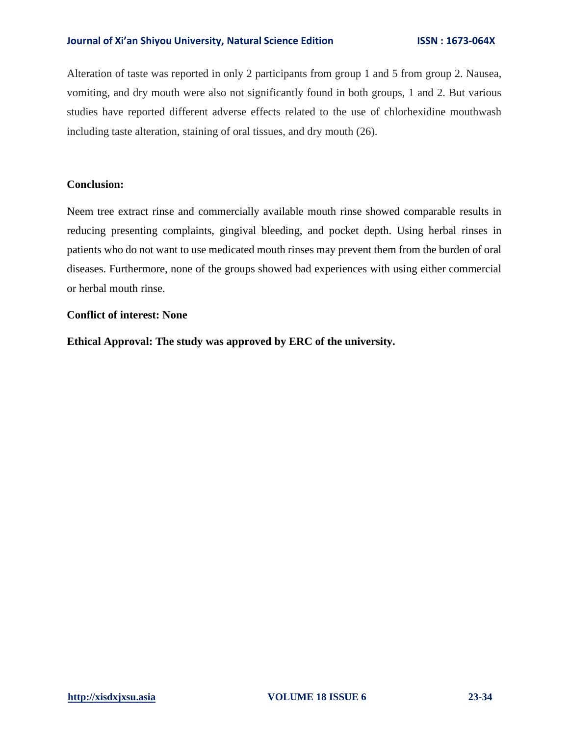Alteration of taste was reported in only 2 participants from group 1 and 5 from group 2. Nausea, vomiting, and dry mouth were also not significantly found in both groups, 1 and 2. But various studies have reported different adverse effects related to the use of chlorhexidine mouthwash including taste alteration, staining of oral tissues, and dry mouth (26).

### **Conclusion:**

Neem tree extract rinse and commercially available mouth rinse showed comparable results in reducing presenting complaints, gingival bleeding, and pocket depth. Using herbal rinses in patients who do not want to use medicated mouth rinses may prevent them from the burden of oral diseases. Furthermore, none of the groups showed bad experiences with using either commercial or herbal mouth rinse.

# **Conflict of interest: None**

**Ethical Approval: The study was approved by ERC of the university.**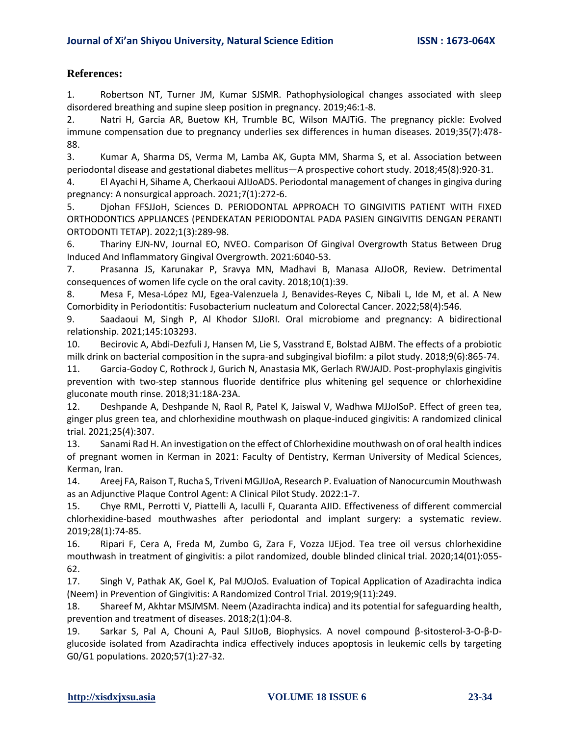# **References:**

1. Robertson NT, Turner JM, Kumar SJSMR. Pathophysiological changes associated with sleep disordered breathing and supine sleep position in pregnancy. 2019;46:1-8.

2. Natri H, Garcia AR, Buetow KH, Trumble BC, Wilson MAJTiG. The pregnancy pickle: Evolved immune compensation due to pregnancy underlies sex differences in human diseases. 2019;35(7):478- 88.

3. Kumar A, Sharma DS, Verma M, Lamba AK, Gupta MM, Sharma S, et al. Association between periodontal disease and gestational diabetes mellitus—A prospective cohort study. 2018;45(8):920-31.

4. El Ayachi H, Sihame A, Cherkaoui AJIJoADS. Periodontal management of changes in gingiva during pregnancy: A nonsurgical approach. 2021;7(1):272-6.

5. Djohan FFSJJoH, Sciences D. PERIODONTAL APPROACH TO GINGIVITIS PATIENT WITH FIXED ORTHODONTICS APPLIANCES (PENDEKATAN PERIODONTAL PADA PASIEN GINGIVITIS DENGAN PERANTI ORTODONTI TETAP). 2022;1(3):289-98.

6. Thariny EJN-NV, Journal EO, NVEO. Comparison Of Gingival Overgrowth Status Between Drug Induced And Inflammatory Gingival Overgrowth. 2021:6040-53.

7. Prasanna JS, Karunakar P, Sravya MN, Madhavi B, Manasa AJJoOR, Review. Detrimental consequences of women life cycle on the oral cavity. 2018;10(1):39.

8. Mesa F, Mesa-López MJ, Egea-Valenzuela J, Benavides-Reyes C, Nibali L, Ide M, et al. A New Comorbidity in Periodontitis: Fusobacterium nucleatum and Colorectal Cancer. 2022;58(4):546.

9. Saadaoui M, Singh P, Al Khodor SJJoRI. Oral microbiome and pregnancy: A bidirectional relationship. 2021;145:103293.

10. Becirovic A, Abdi-Dezfuli J, Hansen M, Lie S, Vasstrand E, Bolstad AJBM. The effects of a probiotic milk drink on bacterial composition in the supra-and subgingival biofilm: a pilot study. 2018;9(6):865-74.

11. Garcia-Godoy C, Rothrock J, Gurich N, Anastasia MK, Gerlach RWJAJD. Post-prophylaxis gingivitis prevention with two-step stannous fluoride dentifrice plus whitening gel sequence or chlorhexidine gluconate mouth rinse. 2018;31:18A-23A.

12. Deshpande A, Deshpande N, Raol R, Patel K, Jaiswal V, Wadhwa MJJoISoP. Effect of green tea, ginger plus green tea, and chlorhexidine mouthwash on plaque-induced gingivitis: A randomized clinical trial. 2021;25(4):307.

13. Sanami Rad H. An investigation on the effect of Chlorhexidine mouthwash on of oral health indices of pregnant women in Kerman in 2021: Faculty of Dentistry, Kerman University of Medical Sciences, Kerman, Iran.

14. Areej FA, Raison T, Rucha S, Triveni MGJIJoA, Research P. Evaluation of Nanocurcumin Mouthwash as an Adjunctive Plaque Control Agent: A Clinical Pilot Study. 2022:1-7.

15. Chye RML, Perrotti V, Piattelli A, Iaculli F, Quaranta AJID. Effectiveness of different commercial chlorhexidine-based mouthwashes after periodontal and implant surgery: a systematic review. 2019;28(1):74-85.

16. Ripari F, Cera A, Freda M, Zumbo G, Zara F, Vozza IJEjod. Tea tree oil versus chlorhexidine mouthwash in treatment of gingivitis: a pilot randomized, double blinded clinical trial. 2020;14(01):055- 62.

17. Singh V, Pathak AK, Goel K, Pal MJOJoS. Evaluation of Topical Application of Azadirachta indica (Neem) in Prevention of Gingivitis: A Randomized Control Trial. 2019;9(11):249.

18. Shareef M, Akhtar MSJMSM. Neem (Azadirachta indica) and its potential for safeguarding health, prevention and treatment of diseases. 2018;2(1):04-8.

19. Sarkar S, Pal A, Chouni A, Paul SJIJoB, Biophysics. A novel compound β-sitosterol-3-O-β-Dglucoside isolated from Azadirachta indica effectively induces apoptosis in leukemic cells by targeting G0/G1 populations. 2020;57(1):27-32.